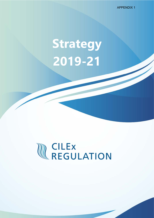APPENDIX 1

## **Strategy 2019-21**

# **WEGULATION**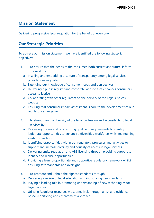#### **Mission Statement**

Delivering progressive legal regulation for the benefit of everyone.

#### **Our Strategic Priorities**

To achieve our mission statement, we have identified the following strategic objectives:

- 1. To ensure that the needs of the consumer, both current and future, inform our work by:
	- a. Instilling and embedding a culture of transparency among legal services providers we regulate
	- b. Extending our knowledge of consumer needs and perspectives
	- c. Delivering a public register and corporate website that enhances consumers access to justice
	- d. Collaborating with other regulators on the delivery of the Legal Choices website
	- e. Ensuring that consumer impact assessment is core to the development of our regulatory arrangements
- 2. To strengthen the diversity of the legal profession and accessibility to legal services by:
	- a. Reviewing the suitability of existing qualifying requirements to identify legitimate opportunities to enhance a diversified workforce whilst maintaining existing standards
	- b. Identifying opportunities within our regulatory processes and activities to support and increase diversity and equality of access in legal services
	- c. Delivering entity regulation and ABS licensing through providing support to identify and realise opportunities
	- d. Providing a lean, proportionate and supportive regulatory framework whilst ensuring safe standards and oversight
- 3. To promote and uphold the highest standards through:
	- a. Delivering a review of legal education and introducing new standards
	- b. Playing a leading role in promoting understanding of new technologies for legal services
	- c. Utilising Regulator resources most effectively through a risk and evidencebased monitoring and enforcement approach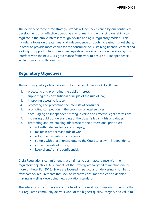The delivery of these three strategic strands will be underpinned by our continued development of an effective operating environment and enhancing our ability to regulate in the public interest through flexible and agile regulatory models. This includes a focus on greater financial independence through increasing market share, in order to provide more choice for the consumer; on sustaining financial control and looking for opportunities to improve regulatory processes; and on developing our interface with the new CILEx governance framework to ensure our independence while promoting collaboration.

### **Regulatory Objectives**

The eight regulatory objectives set out in the Legal Services Act 2007 are:

- 1. protecting and promoting the public interest;
- 2. supporting the constitutional principle of the rule of law;
- 3. improving access to justice;
- 4. protecting and promoting the interests of consumers;
- 5. promoting competition in the provision of legal services;
- 6. encouraging an independent, strong, diverse and effective legal profession;
- 7. increasing public understanding of the citizen's legal rights and duties;
- 8. promoting and maintaining adherence to the professional principles:
	- act with independence and integrity;
	- maintain proper standards of work:
	- act in the best interests of clients;
	- comply with practitioners' duty to the Court to act with independence;
	- in the interests of justice;
	- keep clients' affairs confidential.

CILEx Regulation's commitment is at all times to act in accordance with the regulatory objectives. All elements of the strategy are targeted at meeting one or more of these. For 2018/19, we are focused in particular on delivering a number of transparency requirements that seek to improve consumer choice and decisionmaking as well as developing new education standards.

The interests of consumers are at the heart of our work. Our mission is to ensure that our regulated community delivers work of the highest quality, integrity and value to